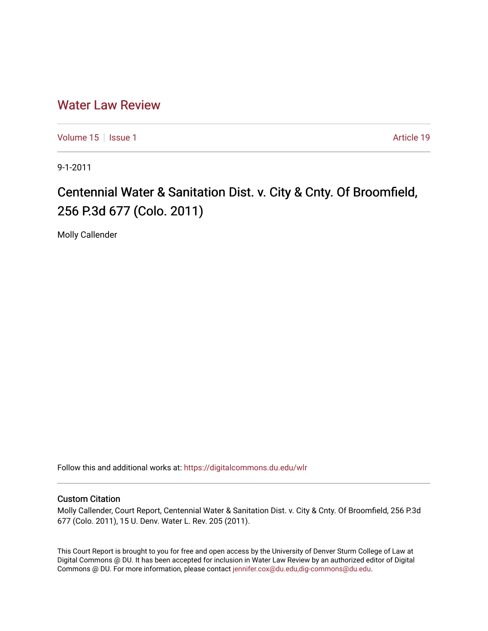# [Water Law Review](https://digitalcommons.du.edu/wlr)

[Volume 15](https://digitalcommons.du.edu/wlr/vol15) | [Issue 1](https://digitalcommons.du.edu/wlr/vol15/iss1) Article 19

9-1-2011

# Centennial Water & Sanitation Dist. v. City & Cnty. Of Broomfield, 256 P.3d 677 (Colo. 2011)

Molly Callender

Follow this and additional works at: [https://digitalcommons.du.edu/wlr](https://digitalcommons.du.edu/wlr?utm_source=digitalcommons.du.edu%2Fwlr%2Fvol15%2Fiss1%2F19&utm_medium=PDF&utm_campaign=PDFCoverPages) 

#### Custom Citation

Molly Callender, Court Report, Centennial Water & Sanitation Dist. v. City & Cnty. Of Broomfield, 256 P.3d 677 (Colo. 2011), 15 U. Denv. Water L. Rev. 205 (2011).

This Court Report is brought to you for free and open access by the University of Denver Sturm College of Law at Digital Commons @ DU. It has been accepted for inclusion in Water Law Review by an authorized editor of Digital Commons @ DU. For more information, please contact [jennifer.cox@du.edu,dig-commons@du.edu.](mailto:jennifer.cox@du.edu,dig-commons@du.edu)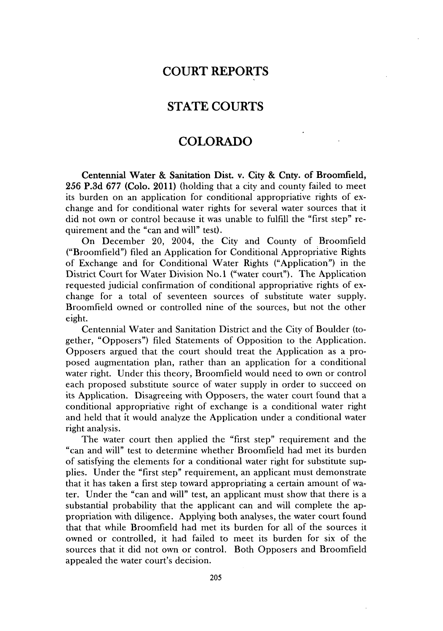## **COURT REPORTS**

## **STATE COURTS**

#### **COLORADO**

Centennial Water **&** Sanitation Dist. v. City **&** Cnty. of Broomfield, **256 P.3d 677** (Colo. 2011) (holding that a city and county failed to meet its burden on an application for conditional appropriative rights of exchange and for conditional water rights for several water sources that it did not own or control because **it** was unable to fulfill the "first step" requirement and the "can and will" test).

On December 20, 2004, the City and County of Broomfield ("Broomfield") filed an Application for Conditional Appropriative Rights of Exchange and for Conditional Water Rights ("Application") in the District Court for Water Division No.1 ("water court"). The Application requested judicial confirmation of conditional appropriative rights of exchange for a total of seventeen sources of substitute water supply. Broomfield owned or controlled nine of the sources, but not the other eight.

Centennial Water and Sanitation District and the City of Boulder (together, "Opposers") filed Statements of Opposition to the Application. Opposers argued that the court should treat the Application as a proposed augmentation plan, rather than an application for a conditional water right. Under this theory, Broomfield would need to own or control each proposed substitute source of water supply in order to succeed on its Application. Disagreeing with Opposers, the water court found that a conditional appropriative right of exchange is a conditional water right and held that it would analyze the Application under a conditional water right analysis.

The water court then applied the "first step" requirement and the "can and will" test to determine whether Broomfield had met its burden of satisfying the elements for a conditional water right for substitute supplies. Under the "first step" requirement, an applicant must demonstrate that it has taken a first step toward appropriating a certain amount of water. Under the "can and will" test, an applicant must show that there is a substantial probability that the applicant can and will complete the appropriation with diligence. Applying both analyses, the water court found that that while Broomfield had met its burden for all of the sources it owned or controlled, it had failed to meet its burden for six of the sources that it did not own or control. Both Opposers and Broomfield appealed the water court's decision.